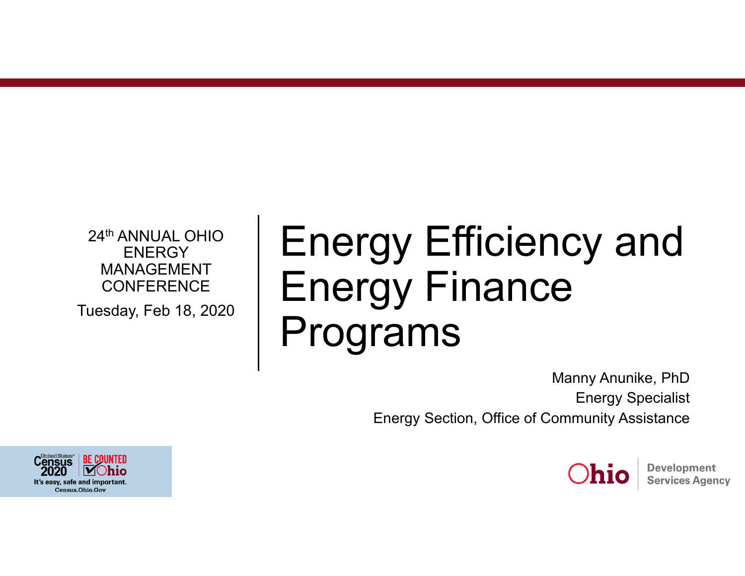24th ANNUAL OHIO **ENERGY** MANAGEMENT **CONFERENCE** 

Tuesday, Feb 18, 2020

# Energy Efficiency and Energy Finance Programs

Manny Anunike, PhD Energy Specialist Energy Section, Office of Community Assistance



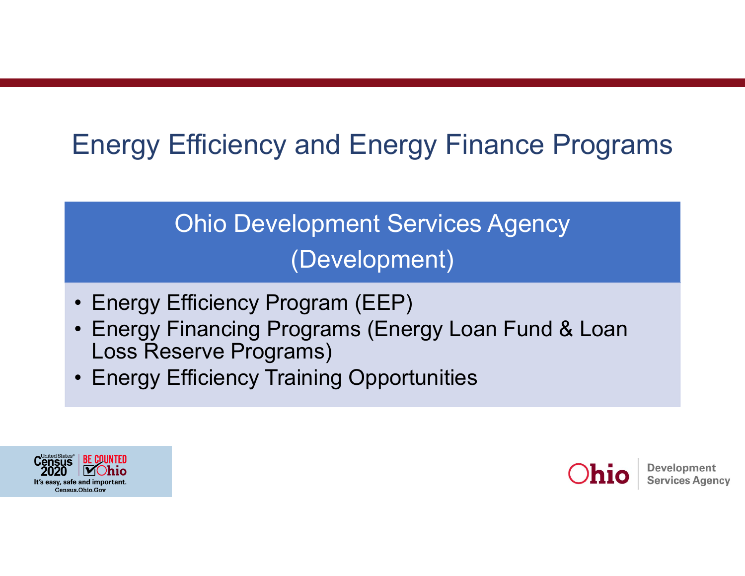## Energy Efficiency and Energy Finance Programs

## Ohio Development Services Agency (Development)

- •Energy Efficiency Program (EEP)
- Energy Financing Programs (Energy Loan Fund & Loan Loss Reserve Programs)
- •Energy Efficiency Training Opportunities



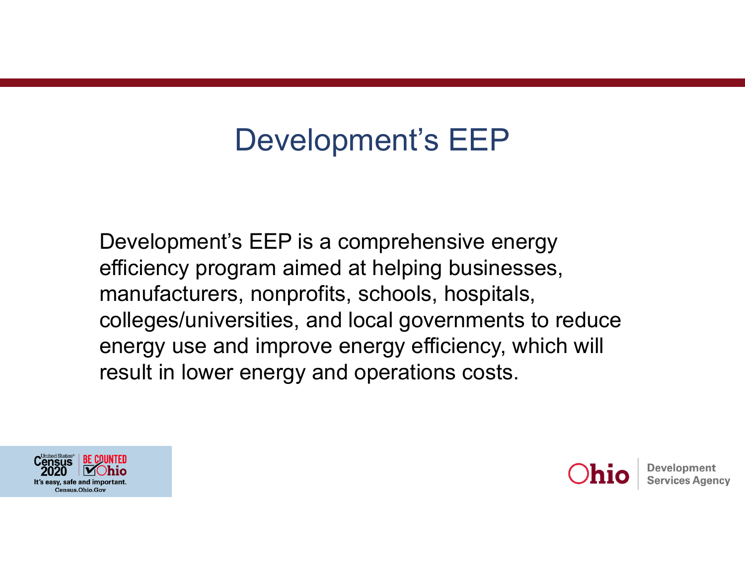## Development's EEP

Development's EEP is a comprehensive energy efficiency program aimed at helping businesses, manufacturers, nonprofits, schools, hospitals, colleges/universities, and local governments to reduce energy use and improve energy efficiency, which will result in lower energy and operations costs.



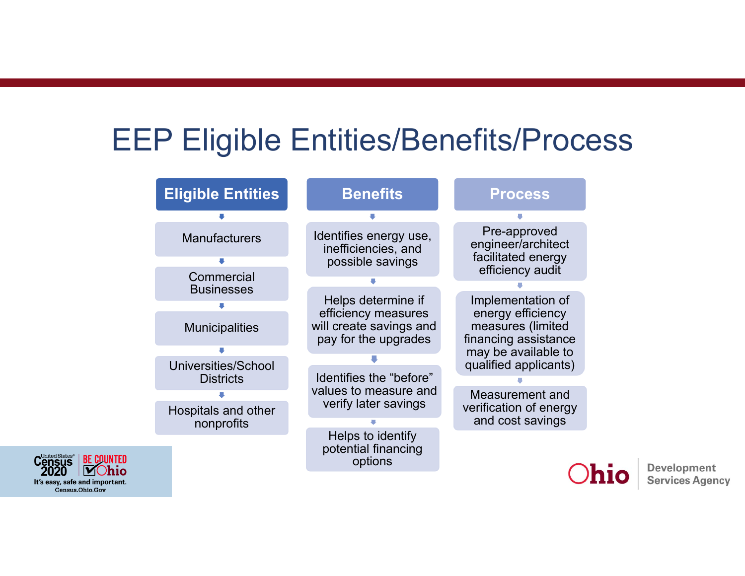## EEP Eligible Entities/Benefits/Process

| <b>Eligible Entities</b> | <b>Benefits</b>                                                   | <b>Process</b>                                                       |
|--------------------------|-------------------------------------------------------------------|----------------------------------------------------------------------|
|                          |                                                                   |                                                                      |
| <b>Manufacturers</b>     | Identifies energy use,<br>inefficiencies, and<br>possible savings | Pre-approved<br>engineer/architect<br>facilitated energy             |
|                          |                                                                   | efficiency audit                                                     |
| Commercial               |                                                                   |                                                                      |
| <b>Businesses</b>        |                                                                   |                                                                      |
|                          | Helps determine if                                                | Implementation of                                                    |
| <b>Municipalities</b>    | efficiency measures<br>will create savings and                    | energy efficiency<br>measures (limited                               |
|                          | pay for the upgrades                                              | financing assistance<br>may be available to<br>qualified applicants) |
|                          |                                                                   |                                                                      |
| Universities/School      | Identifies the "before"                                           |                                                                      |
| <b>Districts</b>         |                                                                   |                                                                      |
|                          | values to measure and                                             | Measurement and<br>verification of energy                            |
|                          | verify later savings                                              |                                                                      |
| Hospitals and other      |                                                                   | and cost savings                                                     |
| nonprofits               |                                                                   |                                                                      |
|                          | Helps to identify<br>potential financing<br>options               |                                                                      |
|                          |                                                                   |                                                                      |

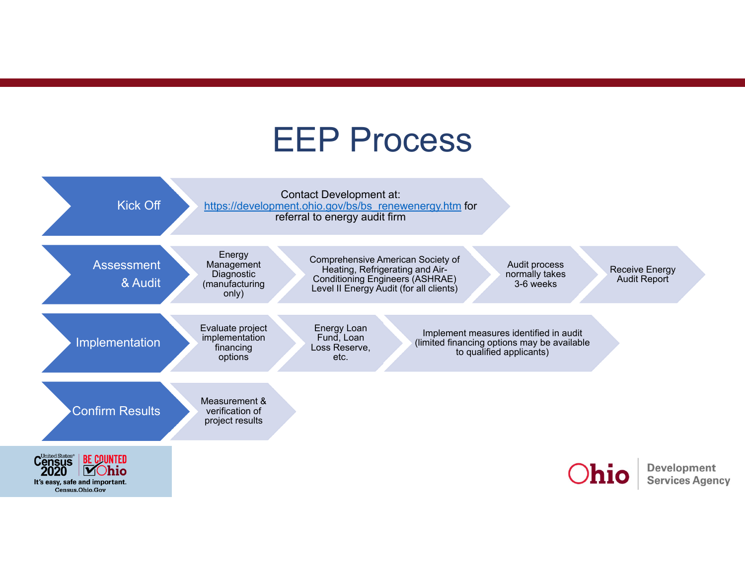## EEP Process

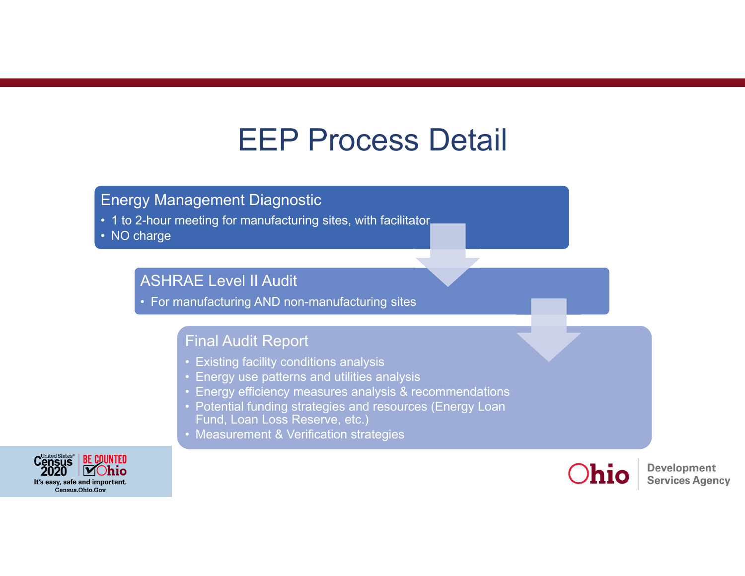## EEP Process Detail

### Energy Management Diagnostic

• 1 to 2-hour meeting for manufacturing sites, with facilitator

• NO charge

### ASHRAE Level II Audit

• For manufacturing AND non-manufacturing sites

### Final Audit Report

- Existing facility conditions analysis
- Energy use patterns and utilities analysis
- Energy efficiency measures analysis & recommendations
- Potential funding strategies and resources (Energy Loan Fund, Loan Loss Reserve, etc.)
- Measurement & Verification strategies



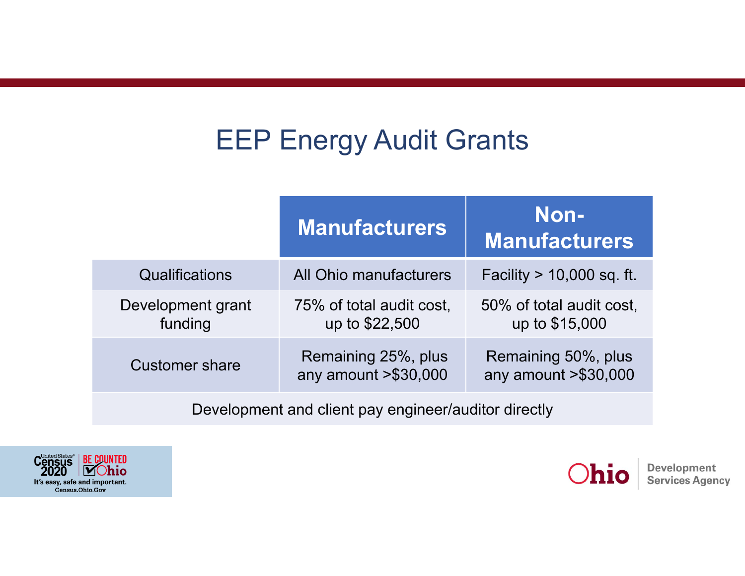## EEP Energy Audit Grants

|                              | <b>Manufacturers</b>                          | Non-<br><b>Manufacturers</b>                  |  |
|------------------------------|-----------------------------------------------|-----------------------------------------------|--|
| <b>Qualifications</b>        | All Ohio manufacturers                        | Facility $> 10,000$ sq. ft.                   |  |
| Development grant<br>funding | 75% of total audit cost,<br>up to \$22,500    | 50% of total audit cost,<br>up to \$15,000    |  |
| <b>Customer share</b>        | Remaining 25%, plus<br>any amount $> $30,000$ | Remaining 50%, plus<br>any amount $> $30,000$ |  |
|                              |                                               |                                               |  |

Development and client pay engineer/auditor directly



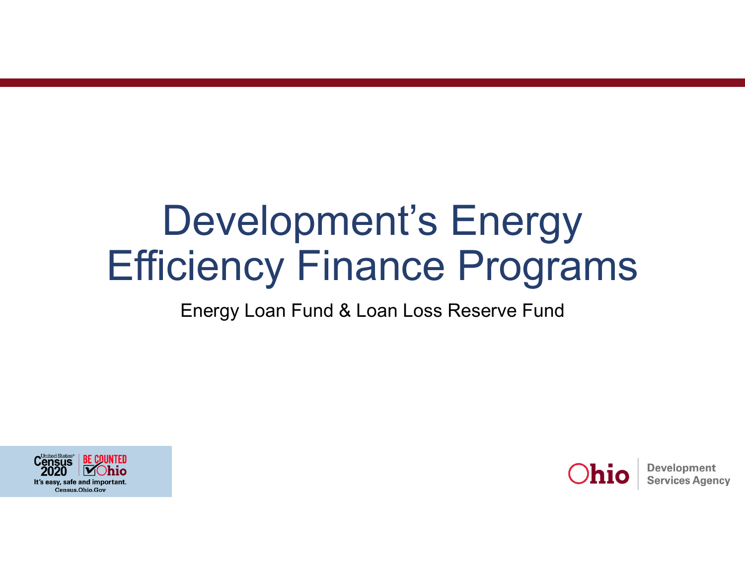# Development's Energy Efficiency Finance Programs

## Energy Loan Fund & Loan Loss Reserve Fund



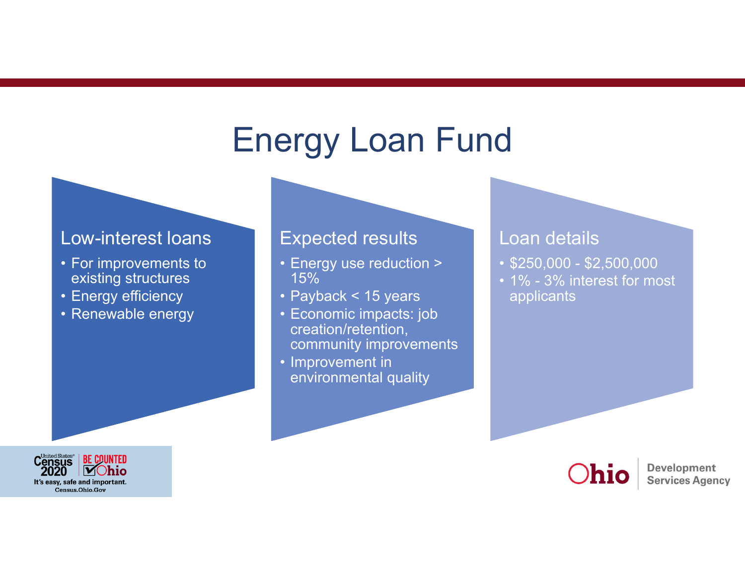# Energy Loan Fund

#### Low-interest loans

- For improvements to existing structures
- Energy efficiency
- Renewable energy

### Expected results

- Energy use reduction > 15%
- Payback < 15 years
- Economic impacts: job creation/retention, community improvements
- Improvement in environmental quality

### Loan details

- \$250,000 \$2,500,000
- 1% 3% interest for most applicants



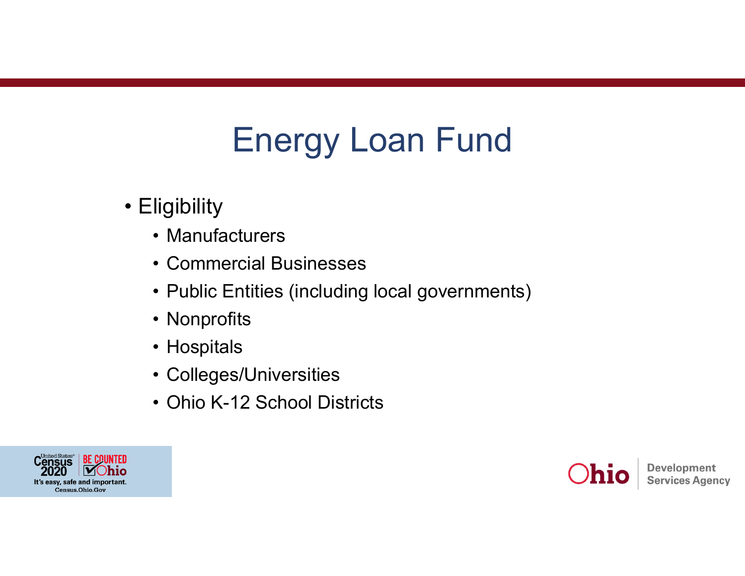# Energy Loan Fund

- Eligibility
	- Manufacturers
	- Commercial Businesses
	- Public Entities (including local governments)
	- Nonprofits
	- Hospitals
	- Colleges/Universities
	- Ohio K-12 School Districts



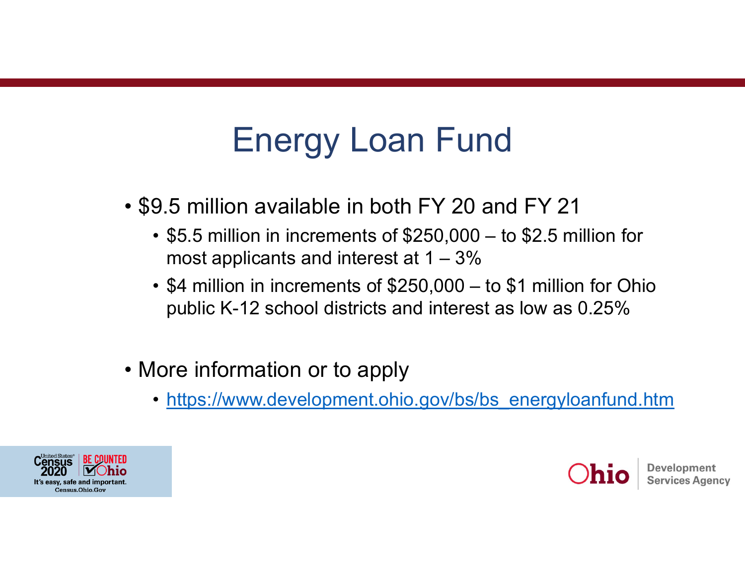# Energy Loan Fund

- \$9.5 million available in both FY 20 and FY 21
	- \$5.5 million in increments of \$250,000 to \$2.5 million for most applicants and interest at  $1 - 3\%$
	- \$4 million in increments of \$250,000 to \$1 million for Ohio public K-12 school districts and interest as low as 0.25%
- More information or to apply
	- https://www.development.ohio.gov/bs/bs\_energyloanfund.htm



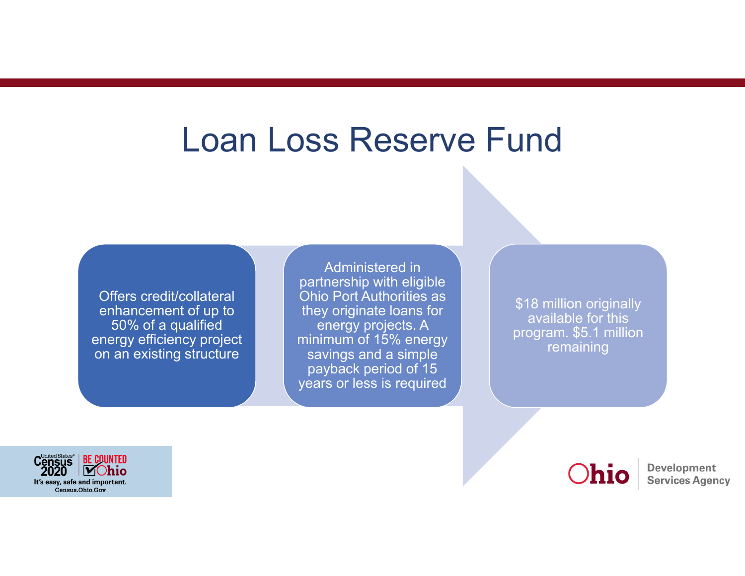## Loan Loss Reserve Fund

Offers credit/collateral enhancement of up to 50% of a qualified energy efficiency project on an existing structure

Administered in partnership with eligible Ohio Port Authorities as they originate loans for energy projects. A minimum of 15% energy savings and a simple payback period of 15 years or less is required

\$18 million originally available for this program. \$5.1 million remaining



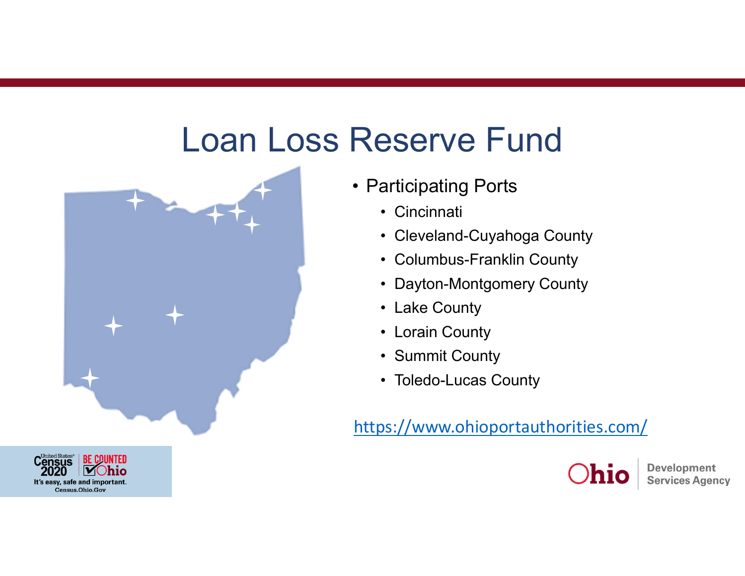# Loan Loss Reserve Fund





- Participating Ports
	- Cincinnati
	- Cleveland-Cuyahoga County
	- Columbus-Franklin County
	- Dayton-Montgomery County
	- Lake County
	- Lorain County
	- Summit County
	- Toledo-Lucas County

https://www.ohioportauthorities.com/